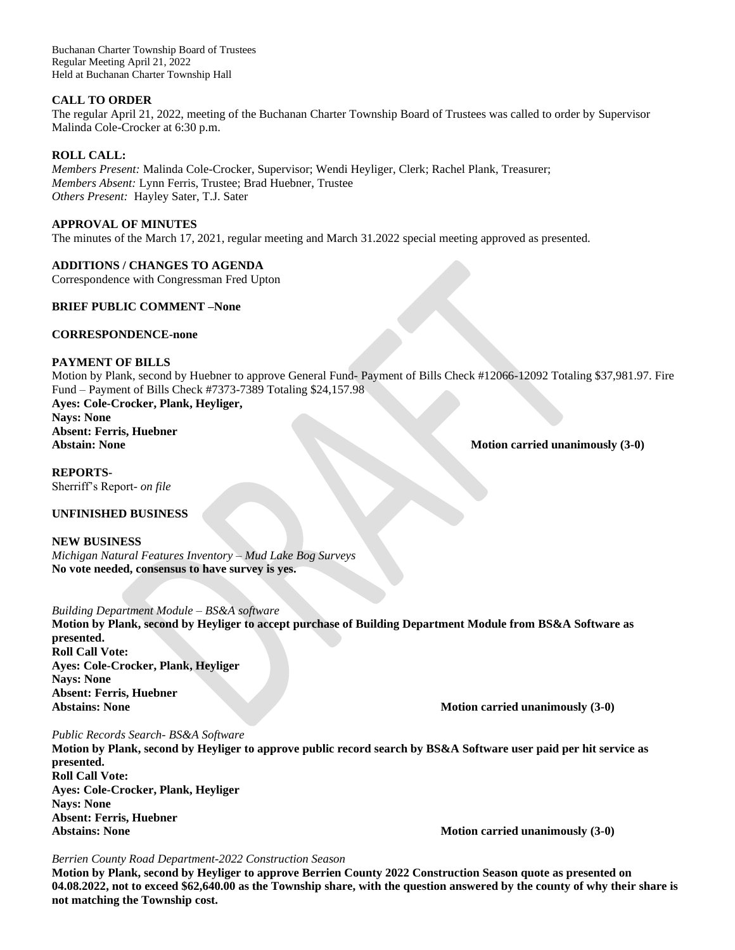Buchanan Charter Township Board of Trustees Regular Meeting April 21, 2022 Held at Buchanan Charter Township Hall

## **CALL TO ORDER**

The regular April 21, 2022, meeting of the Buchanan Charter Township Board of Trustees was called to order by Supervisor Malinda Cole-Crocker at 6:30 p.m.

## **ROLL CALL:**

*Members Present:* Malinda Cole-Crocker, Supervisor; Wendi Heyliger, Clerk; Rachel Plank, Treasurer; *Members Absent:* Lynn Ferris, Trustee; Brad Huebner, Trustee *Others Present:* Hayley Sater, T.J. Sater

## **APPROVAL OF MINUTES**

The minutes of the March 17, 2021, regular meeting and March 31.2022 special meeting approved as presented.

# **ADDITIONS / CHANGES TO AGENDA**

Correspondence with Congressman Fred Upton

# **BRIEF PUBLIC COMMENT –None**

## **CORRESPONDENCE-none**

# **PAYMENT OF BILLS**

Motion by Plank, second by Huebner to approve General Fund- Payment of Bills Check #12066-12092 Totaling \$37,981.97. Fire Fund – Payment of Bills Check #7373-7389 Totaling \$24,157.98 **Ayes: Cole-Crocker, Plank, Heyliger, Nays: None**

# **Absent: Ferris, Huebner**

**Abstain: None** Motion carried unanimously (3-0)

**REPORTS-**Sherriff's Report*- on file*

# **UNFINISHED BUSINESS**

**NEW BUSINESS** *Michigan Natural Features Inventory – Mud Lake Bog Surveys* **No vote needed, consensus to have survey is yes.**

*Building Department Module – BS&A software* **Motion by Plank, second by Heyliger to accept purchase of Building Department Module from BS&A Software as presented. Roll Call Vote: Ayes: Cole-Crocker, Plank, Heyliger Nays: None Absent: Ferris, Huebner**

**Abstains: None Motion carried unanimously (3-0)**

*Public Records Search- BS&A Software* **Motion by Plank, second by Heyliger to approve public record search by BS&A Software user paid per hit service as presented. Roll Call Vote: Ayes: Cole-Crocker, Plank, Heyliger Nays: None Absent: Ferris, Huebner Abstains: None Motion carried unanimously (3-0)**

#### *Berrien County Road Department-2022 Construction Season*

**Motion by Plank, second by Heyliger to approve Berrien County 2022 Construction Season quote as presented on 04.08.2022, not to exceed \$62,640.00 as the Township share, with the question answered by the county of why their share is not matching the Township cost.**